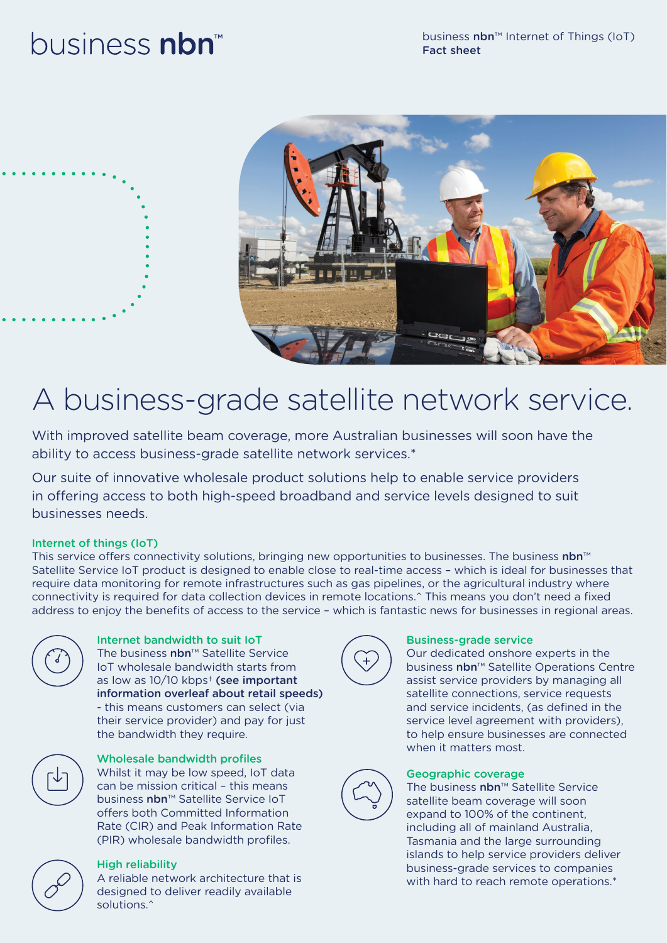# business nbn<sup>™</sup>



# A business-grade satellite network service.

With improved satellite beam coverage, more Australian businesses will soon have the ability to access business-grade satellite network services.\*

Our suite of innovative wholesale product solutions help to enable service providers in offering access to both high-speed broadband and service levels designed to suit businesses needs.

## Internet of things (IoT)

This service offers connectivity solutions, bringing new opportunities to businesses. The business nbn™ Satellite Service IoT product is designed to enable close to real-time access – which is ideal for businesses that require data monitoring for remote infrastructures such as gas pipelines, or the agricultural industry where connectivity is required for data collection devices in remote locations.^ This means you don't need a fixed address to enjoy the benefits of access to the service – which is fantastic news for businesses in regional areas.



Internet bandwidth to suit IoT The business nbn™ Satellite Service IoT wholesale bandwidth starts from as low as 10/10 kbps† (see important information overleaf about retail speeds) - this means customers can select (via their service provider) and pay for just the bandwidth they require.



### Wholesale bandwidth profiles

Whilst it may be low speed, IoT data can be mission critical – this means business nbn™ Satellite Service IoT offers both Committed Information Rate (CIR) and Peak Information Rate (PIR) wholesale bandwidth profiles.



# High reliability

A reliable network architecture that is designed to deliver readily available solutions.<sup>^</sup>



### Business-grade service

Our dedicated onshore experts in the business nbn™ Satellite Operations Centre assist service providers by managing all satellite connections, service requests and service incidents, (as defined in the service level agreement with providers), to help ensure businesses are connected when it matters most.



### Geographic coverage

The business nbn™ Satellite Service satellite beam coverage will soon expand to 100% of the continent, including all of mainland Australia, Tasmania and the large surrounding islands to help service providers deliver business-grade services to companies with hard to reach remote operations.\*